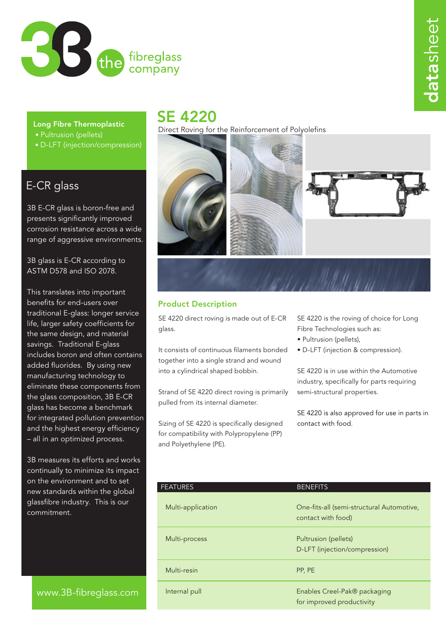

### Long Fibre Thermoplastic

- Pultrusion (pellets)
- D-LFT (injection/compression)

## E-CR glass

3B E-CR glass is boron-free and presents significantly improved corrosion resistance across a wide range of aggressive environments.

3B glass is E-CR according to ASTM D578 and ISO 2078.

This translates into important benefits for end-users over traditional E-glass: longer service life, larger safety coefficients for the same design, and material savings. Traditional E-glass includes boron and often contains added fluorides. By using new manufacturing technology to eliminate these components from the glass composition, 3B E-CR glass has become a benchmark for integrated pollution prevention and the highest energy efficiency – all in an optimized process.

3B measures its efforts and works continually to minimize its impact on the environment and to set new standards within the global glassfibre industry. This is our commitment.

## www.3B-fibreglass.com

# SE 4220

Direct Roving for the Reinforcement of Polyolefins



## Product Description

SE 4220 direct roving is made out of E-CR glass.

It consists of continuous filaments bonded together into a single strand and wound into a cylindrical shaped bobbin.

Strand of SE 4220 direct roving is primarily pulled from its internal diameter.

Sizing of SE 4220 is specifically designed for compatibility with Polypropylene (PP) and Polyethylene (PE).

SE 4220 is the roving of choice for Long Fibre Technologies such as:

- Pultrusion (pellets),
- D-LFT (injection & compression).

SE 4220 is in use within the Automotive industry, specifically for parts requiring semi-structural properties.

SE 4220 is also approved for use in parts in contact with food.

| <b>FEATURES</b>   | <b>BENEFITS</b>                                                 |
|-------------------|-----------------------------------------------------------------|
| Multi-application | One-fits-all (semi-structural Automotive,<br>contact with food) |
| Multi-process     | Pultrusion (pellets)<br>D-LFT (injection/compression)           |
| Multi-resin       | PP, PE                                                          |
| Internal pull     | Enables Creel-Pak® packaging<br>for improved productivity       |